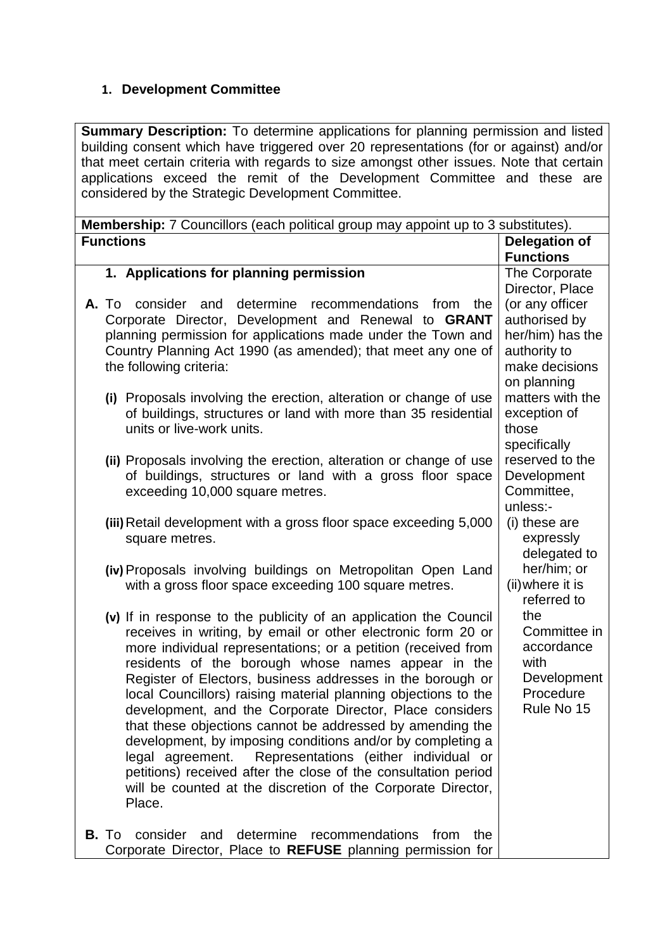## **1. Development Committee**

**Summary Description:** To determine applications for planning permission and listed building consent which have triggered over 20 representations (for or against) and/or that meet certain criteria with regards to size amongst other issues. Note that certain applications exceed the remit of the Development Committee and these are considered by the Strategic Development Committee.

| <b>Membership:</b> 7 Councillors (each political group may appoint up to 3 substitutes).                                                                                                                                                                                                                                                                                                                                                                                                                                                                                                                                                                                                                                                                                                 |                                                                                                                           |  |  |
|------------------------------------------------------------------------------------------------------------------------------------------------------------------------------------------------------------------------------------------------------------------------------------------------------------------------------------------------------------------------------------------------------------------------------------------------------------------------------------------------------------------------------------------------------------------------------------------------------------------------------------------------------------------------------------------------------------------------------------------------------------------------------------------|---------------------------------------------------------------------------------------------------------------------------|--|--|
| <b>Functions</b>                                                                                                                                                                                                                                                                                                                                                                                                                                                                                                                                                                                                                                                                                                                                                                         | <b>Delegation of</b>                                                                                                      |  |  |
|                                                                                                                                                                                                                                                                                                                                                                                                                                                                                                                                                                                                                                                                                                                                                                                          | <b>Functions</b>                                                                                                          |  |  |
| 1. Applications for planning permission                                                                                                                                                                                                                                                                                                                                                                                                                                                                                                                                                                                                                                                                                                                                                  | The Corporate<br>Director, Place                                                                                          |  |  |
| consider and determine recommendations from<br>A. To<br>the<br>Corporate Director, Development and Renewal to GRANT<br>planning permission for applications made under the Town and<br>Country Planning Act 1990 (as amended); that meet any one of<br>the following criteria:<br>(i) Proposals involving the erection, alteration or change of use                                                                                                                                                                                                                                                                                                                                                                                                                                      | (or any officer<br>authorised by<br>her/him) has the<br>authority to<br>make decisions<br>on planning<br>matters with the |  |  |
| of buildings, structures or land with more than 35 residential<br>units or live-work units.                                                                                                                                                                                                                                                                                                                                                                                                                                                                                                                                                                                                                                                                                              | exception of<br>those<br>specifically                                                                                     |  |  |
| (ii) Proposals involving the erection, alteration or change of use<br>of buildings, structures or land with a gross floor space<br>exceeding 10,000 square metres.                                                                                                                                                                                                                                                                                                                                                                                                                                                                                                                                                                                                                       | reserved to the<br>Development<br>Committee,<br>unless:-                                                                  |  |  |
| (iii) Retail development with a gross floor space exceeding 5,000<br>square metres.                                                                                                                                                                                                                                                                                                                                                                                                                                                                                                                                                                                                                                                                                                      | (i) these are<br>expressly<br>delegated to                                                                                |  |  |
| (iv) Proposals involving buildings on Metropolitan Open Land<br>with a gross floor space exceeding 100 square metres.                                                                                                                                                                                                                                                                                                                                                                                                                                                                                                                                                                                                                                                                    | her/him; or<br>(ii) where it is<br>referred to                                                                            |  |  |
| (v) If in response to the publicity of an application the Council<br>receives in writing, by email or other electronic form 20 or<br>more individual representations; or a petition (received from<br>residents of the borough whose names appear in the<br>Register of Electors, business addresses in the borough or<br>local Councillors) raising material planning objections to the<br>development, and the Corporate Director, Place considers<br>that these objections cannot be addressed by amending the<br>development, by imposing conditions and/or by completing a<br>Representations (either individual or<br>legal agreement.<br>petitions) received after the close of the consultation period<br>will be counted at the discretion of the Corporate Director,<br>Place. | the<br>Committee in<br>accordance<br>with<br>Development<br>Procedure<br>Rule No 15                                       |  |  |
| determine<br>recommendations<br>B. To<br>consider<br>and<br>from<br>the<br>Corporate Director, Place to REFUSE planning permission for                                                                                                                                                                                                                                                                                                                                                                                                                                                                                                                                                                                                                                                   |                                                                                                                           |  |  |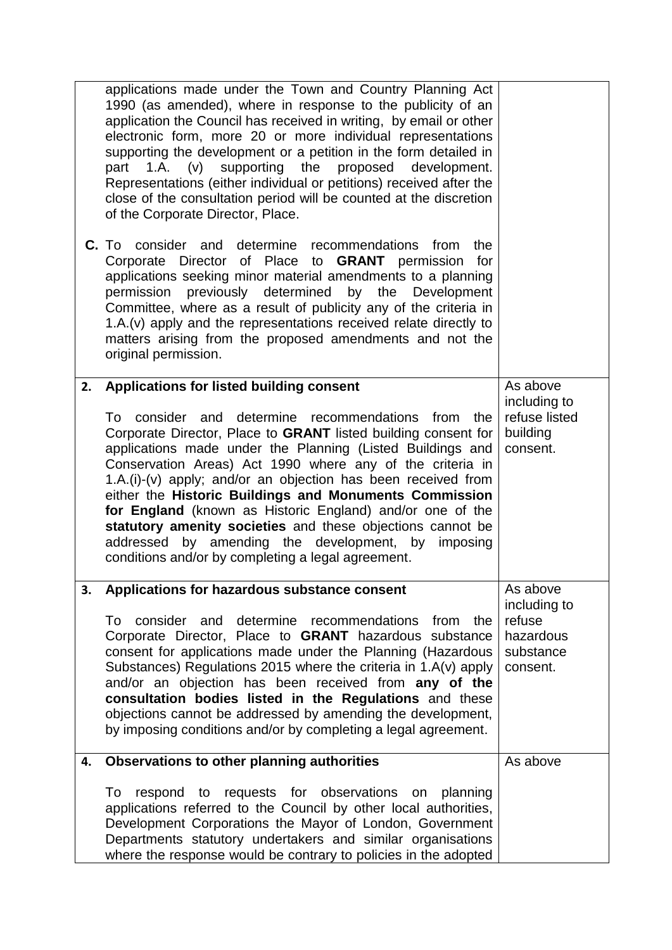|    | applications made under the Town and Country Planning Act<br>1990 (as amended), where in response to the publicity of an<br>application the Council has received in writing, by email or other<br>electronic form, more 20 or more individual representations<br>supporting the development or a petition in the form detailed in<br>supporting the<br>proposed<br>part $1.A.$ (v)<br>development.<br>Representations (either individual or petitions) received after the<br>close of the consultation period will be counted at the discretion<br>of the Corporate Director, Place.<br>C. To consider and determine recommendations from<br>the<br>Director of Place to <b>GRANT</b> permission<br>Corporate<br>for<br>applications seeking minor material amendments to a planning<br>previously determined<br>by the<br>Development<br>permission<br>Committee, where as a result of publicity any of the criteria in<br>1.A.(v) apply and the representations received relate directly to |                                                                          |
|----|-----------------------------------------------------------------------------------------------------------------------------------------------------------------------------------------------------------------------------------------------------------------------------------------------------------------------------------------------------------------------------------------------------------------------------------------------------------------------------------------------------------------------------------------------------------------------------------------------------------------------------------------------------------------------------------------------------------------------------------------------------------------------------------------------------------------------------------------------------------------------------------------------------------------------------------------------------------------------------------------------|--------------------------------------------------------------------------|
|    | matters arising from the proposed amendments and not the<br>original permission.                                                                                                                                                                                                                                                                                                                                                                                                                                                                                                                                                                                                                                                                                                                                                                                                                                                                                                              |                                                                          |
| 2. | Applications for listed building consent<br>To consider and determine recommendations<br>from<br>the<br>Corporate Director, Place to GRANT listed building consent for<br>applications made under the Planning (Listed Buildings and<br>Conservation Areas) Act 1990 where any of the criteria in<br>$1.A.(i)-(v)$ apply; and/or an objection has been received from<br>either the Historic Buildings and Monuments Commission<br>for England (known as Historic England) and/or one of the<br>statutory amenity societies and these objections cannot be<br>addressed by amending the development, by imposing<br>conditions and/or by completing a legal agreement.                                                                                                                                                                                                                                                                                                                         | As above<br>including to<br>refuse listed<br>building<br>consent.        |
| 3. | Applications for hazardous substance consent<br>To consider and determine recommendations<br>from the<br>Corporate Director, Place to GRANT hazardous substance<br>consent for applications made under the Planning (Hazardous<br>Substances) Regulations 2015 where the criteria in 1.A(v) apply<br>and/or an objection has been received from any of the<br>consultation bodies listed in the Regulations and these<br>objections cannot be addressed by amending the development,<br>by imposing conditions and/or by completing a legal agreement.                                                                                                                                                                                                                                                                                                                                                                                                                                        | As above<br>including to<br>refuse<br>hazardous<br>substance<br>consent. |
| 4. | Observations to other planning authorities<br>respond to requests for observations on planning<br>To<br>applications referred to the Council by other local authorities,<br>Development Corporations the Mayor of London, Government<br>Departments statutory undertakers and similar organisations<br>where the response would be contrary to policies in the adopted                                                                                                                                                                                                                                                                                                                                                                                                                                                                                                                                                                                                                        | As above                                                                 |